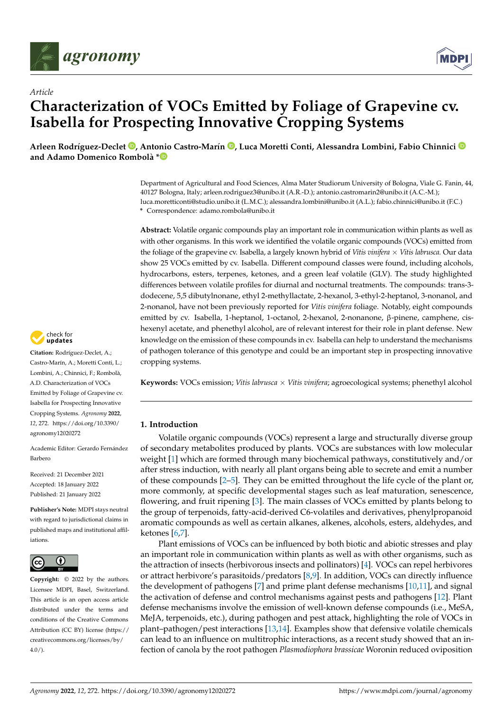

*Article*



# **Characterization of VOCs Emitted by Foliage of Grapevine cv. Isabella for Prospecting Innovative Cropping Systems**

**Arleen Rodríguez-Declet [,](https://orcid.org/0000-0002-2765-3533) Antonio Castro-Marín [,](https://orcid.org/0000-0002-8907-2291) Luca Moretti Conti, Alessandra Lombini, Fabio Chinnici and Adamo Domenico Rombolà [\\*](https://orcid.org/0000-0001-6232-3655)**

> Department of Agricultural and Food Sciences, Alma Mater Studiorum University of Bologna, Viale G. Fanin, 44, 40127 Bologna, Italy; arleen.rodriguez3@unibo.it (A.R.-D.); antonio.castromarin2@unibo.it (A.C.-M.); luca.moretticonti@studio.unibo.it (L.M.C.); alessandra.lombini@unibo.it (A.L.); fabio.chinnici@unibo.it (F.C.) **\*** Correspondence: adamo.rombola@unibo.it

> **Abstract:** Volatile organic compounds play an important role in communication within plants as well as with other organisms. In this work we identified the volatile organic compounds (VOCs) emitted from the foliage of the grapevine cv. Isabella, a largely known hybrid of *Vitis vinifera* × *Vitis labrusca.* Our data show 25 VOCs emitted by cv. Isabella. Different compound classes were found, including alcohols, hydrocarbons, esters, terpenes, ketones, and a green leaf volatile (GLV). The study highlighted differences between volatile profiles for diurnal and nocturnal treatments. The compounds: trans-3 dodecene, 5,5 dibutylnonane, ethyl 2-methyllactate, 2-hexanol, 3-ethyl-2-heptanol, 3-nonanol, and 2-nonanol, have not been previously reported for *Vitis vinifera* foliage. Notably, eight compounds emitted by cv. Isabella, 1-heptanol, 1-octanol, 2-hexanol, 2-nonanone, β-pinene, camphene, cishexenyl acetate, and phenethyl alcohol, are of relevant interest for their role in plant defense. New knowledge on the emission of these compounds in cv. Isabella can help to understand the mechanisms of pathogen tolerance of this genotype and could be an important step in prospecting innovative cropping systems.

> **Keywords:** VOCs emission; *Vitis labrusca* × *Vitis vinifera*; agroecological systems; phenethyl alcohol

# **1. Introduction**

Volatile organic compounds (VOCs) represent a large and structurally diverse group of secondary metabolites produced by plants. VOCs are substances with low molecular weight [\[1\]](#page-9-0) which are formed through many biochemical pathways, constitutively and/or after stress induction, with nearly all plant organs being able to secrete and emit a number of these compounds [\[2](#page-9-1)[–5\]](#page-9-2). They can be emitted throughout the life cycle of the plant or, more commonly, at specific developmental stages such as leaf maturation, senescence, flowering, and fruit ripening [\[3\]](#page-9-3). The main classes of VOCs emitted by plants belong to the group of terpenoids, fatty-acid-derived C6-volatiles and derivatives, phenylpropanoid aromatic compounds as well as certain alkanes, alkenes, alcohols, esters, aldehydes, and ketones [\[6](#page-9-4)[,7\]](#page-9-5).

Plant emissions of VOCs can be influenced by both biotic and abiotic stresses and play an important role in communication within plants as well as with other organisms, such as the attraction of insects (herbivorous insects and pollinators) [\[4\]](#page-9-6). VOCs can repel herbivores or attract herbivore's parasitoids/predators [\[8](#page-9-7)[,9\]](#page-9-8). In addition, VOCs can directly influence the development of pathogens [\[7\]](#page-9-5) and prime plant defense mechanisms [\[10,](#page-9-9)[11\]](#page-9-10), and signal the activation of defense and control mechanisms against pests and pathogens [\[12\]](#page-9-11). Plant defense mechanisms involve the emission of well-known defense compounds (i.e., MeSA, MeJA, terpenoids, etc.), during pathogen and pest attack, highlighting the role of VOCs in plant–pathogen/pest interactions [\[13,](#page-9-12)[14\]](#page-9-13). Examples show that defensive volatile chemicals can lead to an influence on multitrophic interactions, as a recent study showed that an infection of canola by the root pathogen *Plasmodiophora brassicae* Woronin reduced oviposition



**Citation:** Rodríguez-Declet, A.; Castro-Marín, A.; Moretti Conti, L.; Lombini, A.; Chinnici, F.; Rombolà, A.D. Characterization of VOCs Emitted by Foliage of Grapevine cv. Isabella for Prospecting Innovative Cropping Systems. *Agronomy* **2022**, *12*, 272. [https://doi.org/10.3390/](https://doi.org/10.3390/agronomy12020272) [agronomy12020272](https://doi.org/10.3390/agronomy12020272)

Academic Editor: Gerardo Fernández Barbero

Received: 21 December 2021 Accepted: 18 January 2022 Published: 21 January 2022

**Publisher's Note:** MDPI stays neutral with regard to jurisdictional claims in published maps and institutional affiliations.



**Copyright:** © 2022 by the authors. Licensee MDPI, Basel, Switzerland. This article is an open access article distributed under the terms and conditions of the Creative Commons Attribution (CC BY) license [\(https://](https://creativecommons.org/licenses/by/4.0/) [creativecommons.org/licenses/by/](https://creativecommons.org/licenses/by/4.0/)  $4.0/$ ).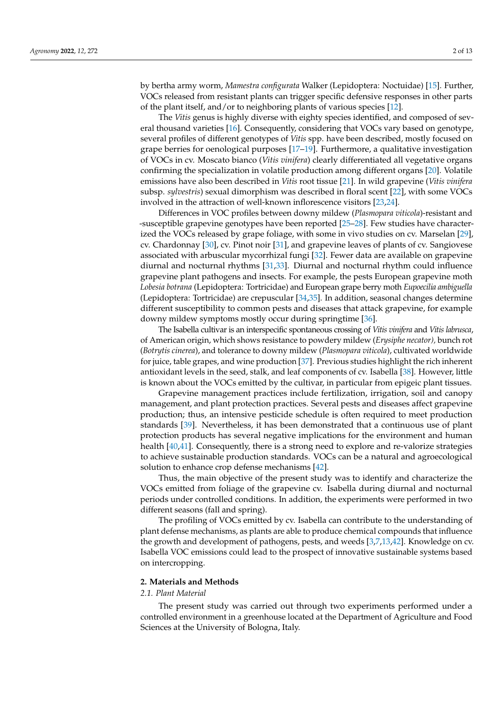by bertha army worm, *Mamestra configurata* Walker (Lepidoptera: Noctuidae) [\[15\]](#page-9-14). Further, VOCs released from resistant plants can trigger specific defensive responses in other parts of the plant itself, and/or to neighboring plants of various species [\[12\]](#page-9-11).

The *Vitis* genus is highly diverse with eighty species identified, and composed of several thousand varieties [\[16\]](#page-9-15). Consequently, considering that VOCs vary based on genotype, several profiles of different genotypes of *Vitis* spp. have been described, mostly focused on grape berries for oenological purposes [\[17](#page-9-16)[–19\]](#page-9-17). Furthermore, a qualitative investigation of VOCs in cv. Moscato bianco (*Vitis vinifera*) clearly differentiated all vegetative organs confirming the specialization in volatile production among different organs [\[20\]](#page-9-18). Volatile emissions have also been described in *Vitis* root tissue [\[21\]](#page-9-19). In wild grapevine (*Vitis vinifera* subsp. *sylvestris*) sexual dimorphism was described in floral scent [\[22\]](#page-9-20), with some VOCs involved in the attraction of well-known inflorescence visitors [\[23](#page-9-21)[,24\]](#page-9-22).

Differences in VOC profiles between downy mildew (*Plasmopara viticola*)-resistant and -susceptible grapevine genotypes have been reported [\[25–](#page-9-23)[28\]](#page-9-24). Few studies have characterized the VOCs released by grape foliage, with some in vivo studies on cv. Marselan [\[29\]](#page-10-0), cv. Chardonnay [\[30\]](#page-10-1), cv. Pinot noir [\[31\]](#page-10-2), and grapevine leaves of plants of cv. Sangiovese associated with arbuscular mycorrhizal fungi [\[32\]](#page-10-3). Fewer data are available on grapevine diurnal and nocturnal rhythms [\[31,](#page-10-2)[33\]](#page-10-4). Diurnal and nocturnal rhythm could influence grapevine plant pathogens and insects. For example, the pests European grapevine moth *Lobesia botrana* (Lepidoptera: Tortricidae) and European grape berry moth *Eupoecilia ambiguella* (Lepidoptera: Tortricidae) are crepuscular [\[34](#page-10-5)[,35\]](#page-10-6). In addition, seasonal changes determine different susceptibility to common pests and diseases that attack grapevine, for example downy mildew symptoms mostly occur during springtime [\[36\]](#page-10-7).

The Isabella cultivar is an interspecific spontaneous crossing of *Vitis vinifera* and *Vitis labrusca*, of American origin, which shows resistance to powdery mildew (*Erysiphe necator),* bunch rot (*Botrytis cinerea*), and tolerance to downy mildew (*Plasmopara viticola*), cultivated worldwide for juice, table grapes, and wine production [\[37\]](#page-10-8). Previous studies highlight the rich inherent antioxidant levels in the seed, stalk, and leaf components of cv. Isabella [\[38\]](#page-10-9). However, little is known about the VOCs emitted by the cultivar, in particular from epigeic plant tissues.

Grapevine management practices include fertilization, irrigation, soil and canopy management, and plant protection practices. Several pests and diseases affect grapevine production; thus, an intensive pesticide schedule is often required to meet production standards [\[39\]](#page-10-10). Nevertheless, it has been demonstrated that a continuous use of plant protection products has several negative implications for the environment and human health [\[40](#page-10-11)[,41\]](#page-10-12). Consequently, there is a strong need to explore and re-valorize strategies to achieve sustainable production standards. VOCs can be a natural and agroecological solution to enhance crop defense mechanisms [\[42\]](#page-10-13).

Thus, the main objective of the present study was to identify and characterize the VOCs emitted from foliage of the grapevine cv. Isabella during diurnal and nocturnal periods under controlled conditions. In addition, the experiments were performed in two different seasons (fall and spring).

The profiling of VOCs emitted by cv. Isabella can contribute to the understanding of plant defense mechanisms, as plants are able to produce chemical compounds that influence the growth and development of pathogens, pests, and weeds [\[3,](#page-9-3)[7,](#page-9-5)[13,](#page-9-12)[42\]](#page-10-13). Knowledge on cv. Isabella VOC emissions could lead to the prospect of innovative sustainable systems based on intercropping.

#### **2. Materials and Methods**

#### *2.1. Plant Material*

The present study was carried out through two experiments performed under a controlled environment in a greenhouse located at the Department of Agriculture and Food Sciences at the University of Bologna, Italy.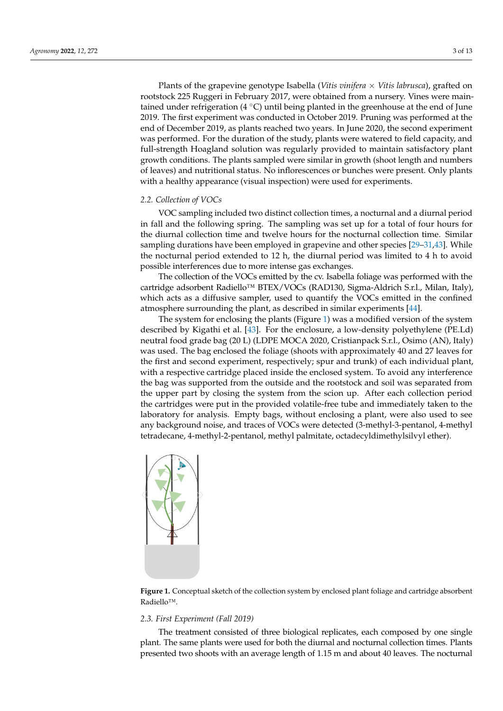Plants of the grapevine genotype Isabella (*Vitis vinifera × Vitis labrusca*), grafted on rootstock 225 Ruggeri in February 2017, were obtained from a nursery. Vines were maintained under refrigeration (4 °C) until being planted in the greenhouse at the end of June 2019. The first experiment was conducted in October 2019. Pruning was performed at the end of December 2019, as plants reached two years. In June 2020, the second experiment was performed. For the duration of the study, plants were watered to field capacity, and full-strength Hoagland solution was regularly provided to maintain satisfactory plant growth conditions. The plants sampled were similar in growth (shoot length and numbers of leaves) and nutritional status. No inflorescences or bunches were present. Only plants with a healthy appearance (visual inspection) were used for experiments.

# *2.2. Collection of VOCs 2.2. Collection of VOCs*

VOC sampling included two distinct collection times, a nocturnal and a diurnal period VOC sampling included two distinct collection times, a nocturnal and a diurnal in fall and the following spring. The sampling was set up for a total of four hours for It has the diurnal collection time and twelve hours for the nocturnal collection time. Similar sampling durations have been employed in grapevine and other species [\[29–](#page-10-0)[31](#page-10-2)[,43\]](#page-10-14). While sampling durations have been employed in grapevine and other species [29–31,43]. While the nocturnal period extended to 12 h, the diurnal period was limited to 4 h to avoid the nocturnal period extended to 12 h, the diurnal period was limited to 4 h to avoid possible interferences due to more intense gas exchanges. possible interferences due to more intense gas exchanges. period in fall and the following spring. The sampling was set up for a total of four hours

The collection of the VOCs emitted by the cv. Isabella foliage was performed with the The collection of the VOCs emitted by the cv. Isabella foliage was performed with cartridge adsorbent Radiello™ BTEX/VOCs (RAD130, Sigma-Aldrich S.r.l., Milan, Italy), the cartridge adsorbent Radiello™ BTEX/VOCs (RAD130, Sigma-Aldrich S.r.l., Milan, which acts as a diffusive sampler, used to quantify the VOCs emitted in the confined atmosphere surrounding the plant, as described in similar experiments [\[44\]](#page-10-15).

The system for enclosing the plants (Figure [1\)](#page-2-0) was a modified version of the system The system for enclosing the plants (Figure 1) was a modified version of the system described by Kigathi et al. [\[43\]](#page-10-14). For the enclosure, a low-density polyethylene (PE.Ld) described by Kigathi et al. [43]. For the enclosure, a low-density polyethylene (PE.Ld) neutral food grade bag (20 L) (LDPE MOCA 2020, Cristianpack S.r.l., Osimo (AN), Italy) neutral food grade bag (20 L) (LDPE MOCA 2020, Cristianpack S.r.l., Osimo (AN), Italy) was used. The bag enclosed the foliage (shoots with approximately 40 and 27 leaves for was used. The bag enclosed the foliage (shoots with approximately 40 and 27 leaves for the first and second experiment, respectively; spur and trunk) of each individual plant, the first and second experiment, respectively; spur and trunk) of each individual plant, with a respective cartridge placed inside the enclosed system. To avoid any interference with a respective cartridge placed inside the enclosed system. To avoid any interference the bag was supported from the outside and the rootstock and soil was separated from the bag was supported from the outside and the rootstock and soil was separated from the upper part by closing the system from the scion up. After each collection period the cartridges were put in the provided volatile-free tube and immediately taken to the cartridges were put in the provided volatile-free tube and immediately taken to the laboratory for analysis. Empty bags, without enclosing a plant, were also used to see any background noise, and traces of VOCs were detected (3-methyl-3-pentanol, 4-methyl background noise, and traces of VOCs were detected (3-methyl-3-pentanol, 4-methyl tetradecane, 4-methyl-2-pentanol, methyl palmitate, octadecyldimethylsilvyl ether). tetradecane, 4-methyl-2-pentanol, methyl palmitate, octadecyldimethylsilvyl ether).

<span id="page-2-0"></span>

**Figure 1.** Conceptual sketch of the collection system by enclosed plant foliage and cartridge absorbent Radiello™.

#### *2.3. First Experiment (Fall 2019)*

The treatment consisted of three biological replicates, each composed by one single plant. The same plants were used for both the diurnal and nocturnal collection times. Plants presented two shoots with an average length of 1.15 m and about 40 leaves. The nocturnal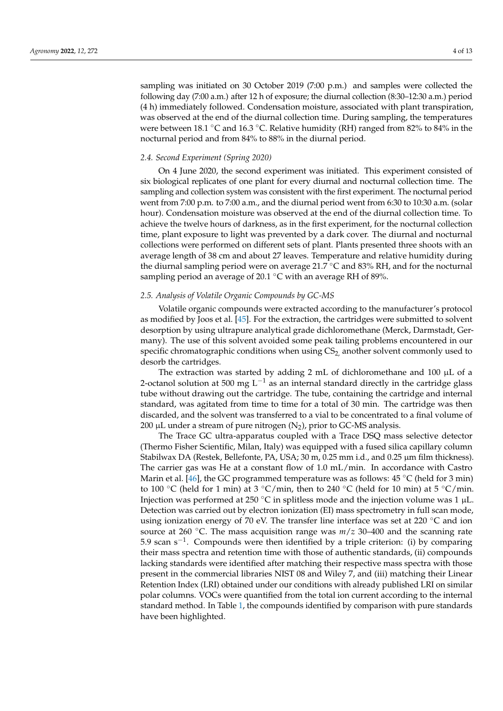sampling was initiated on 30 October 2019 (7:00 p.m.) and samples were collected the following day (7:00 a.m.) after 12 h of exposure; the diurnal collection (8:30–12:30 a.m.) period (4 h) immediately followed. Condensation moisture, associated with plant transpiration, was observed at the end of the diurnal collection time. During sampling, the temperatures were between 18.1 °C and 16.3 °C. Relative humidity (RH) ranged from 82% to 84% in the nocturnal period and from 84% to 88% in the diurnal period.

#### *2.4. Second Experiment (Spring 2020)*

On 4 June 2020, the second experiment was initiated. This experiment consisted of six biological replicates of one plant for every diurnal and nocturnal collection time. The sampling and collection system was consistent with the first experiment. The nocturnal period went from 7:00 p.m. to 7:00 a.m., and the diurnal period went from 6:30 to 10:30 a.m. (solar hour). Condensation moisture was observed at the end of the diurnal collection time. To achieve the twelve hours of darkness, as in the first experiment, for the nocturnal collection time, plant exposure to light was prevented by a dark cover. The diurnal and nocturnal collections were performed on different sets of plant. Plants presented three shoots with an average length of 38 cm and about 27 leaves. Temperature and relative humidity during the diurnal sampling period were on average 21.7 °C and 83% RH, and for the nocturnal sampling period an average of 20.1 °C with an average RH of 89%.

#### *2.5. Analysis of Volatile Organic Compounds by GC-MS*

Volatile organic compounds were extracted according to the manufacturer's protocol as modified by Joos et al. [\[45\]](#page-10-16). For the extraction, the cartridges were submitted to solvent desorption by using ultrapure analytical grade dichloromethane (Merck, Darmstadt, Germany). The use of this solvent avoided some peak tailing problems encountered in our specific chromatographic conditions when using CS<sub>2</sub>, another solvent commonly used to desorb the cartridges.

The extraction was started by adding 2 mL of dichloromethane and  $100 \mu L$  of a 2-octanol solution at 500 mg L<sup>-1</sup> as an internal standard directly in the cartridge glass tube without drawing out the cartridge. The tube, containing the cartridge and internal standard, was agitated from time to time for a total of 30 min. The cartridge was then discarded, and the solvent was transferred to a vial to be concentrated to a final volume of 200 µL under a stream of pure nitrogen  $(N_2)$ , prior to GC-MS analysis.

The Trace GC ultra-apparatus coupled with a Trace DSQ mass selective detector (Thermo Fisher Scientific, Milan, Italy) was equipped with a fused silica capillary column Stabilwax DA (Restek, Bellefonte, PA, USA; 30 m, 0.25 mm i.d., and 0.25 µm film thickness). The carrier gas was He at a constant flow of 1.0 mL/min. In accordance with Castro Marin et al. [\[46\]](#page-10-17), the GC programmed temperature was as follows:  $45\degree C$  (held for 3 min) to 100 °C (held for 1 min) at 3 °C/min, then to 240 °C (held for 10 min) at 5 °C/min. Injection was performed at 250 °C in splitless mode and the injection volume was 1  $\mu$ L. Detection was carried out by electron ionization (EI) mass spectrometry in full scan mode, using ionization energy of 70 eV. The transfer line interface was set at 220 ℃ and ion source at 260 ◦C. The mass acquisition range was *m*/*z* 30–400 and the scanning rate 5.9 scan s−<sup>1</sup> . Compounds were then identified by a triple criterion: (i) by comparing their mass spectra and retention time with those of authentic standards, (ii) compounds lacking standards were identified after matching their respective mass spectra with those present in the commercial libraries NIST 08 and Wiley 7, and (iii) matching their Linear Retention Index (LRI) obtained under our conditions with already published LRI on similar polar columns. VOCs were quantified from the total ion current according to the internal standard method. In Table [1,](#page-4-0) the compounds identified by comparison with pure standards have been highlighted.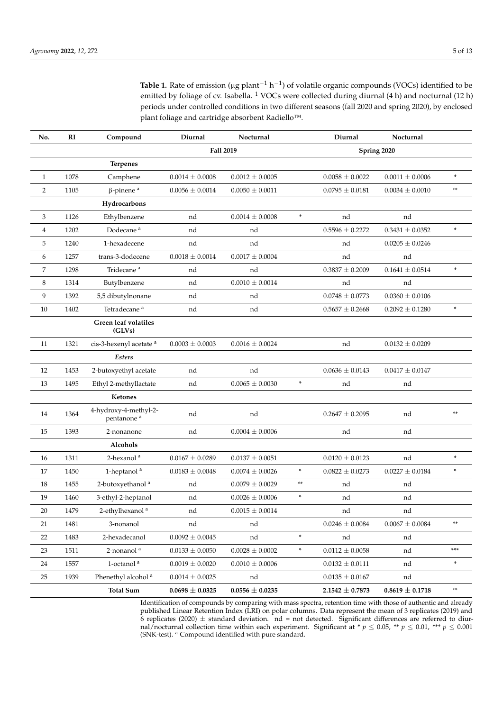<span id="page-4-0"></span>Table 1. Rate of emission (μg plant<sup>-1</sup> h<sup>-1</sup>) of volatile organic compounds (VOCs) identified to be emitted by foliage of cv. Isabella. <sup>1</sup> VOCs were collected during diurnal (4 h) and nocturnal (12 h) periods under controlled conditions in two different seasons (fall 2020 and spring 2020), by enclosed plant foliage and cartridge absorbent Radiello™.

| No.            | RI   | Compound                                        | Diurnal             | Nocturnal           |        | Diurnal             | Nocturnal           |            |
|----------------|------|-------------------------------------------------|---------------------|---------------------|--------|---------------------|---------------------|------------|
|                |      |                                                 | Fall 2019           |                     |        | Spring 2020         |                     |            |
|                |      | <b>Terpenes</b>                                 |                     |                     |        |                     |                     |            |
| $\mathbf{1}$   | 1078 | Camphene                                        | $0.0014 \pm 0.0008$ | $0.0012 \pm 0.0005$ |        | $0.0058 \pm 0.0022$ | $0.0011 \pm 0.0006$ | ×.         |
| $\overline{2}$ | 1105 | $\beta$ -pinene <sup>a</sup>                    | $0.0056 \pm 0.0014$ | $0.0050 \pm 0.0011$ |        | $0.0795 \pm 0.0181$ | $0.0034 \pm 0.0010$ | **         |
|                |      | Hydrocarbons                                    |                     |                     |        |                     |                     |            |
| 3              | 1126 | Ethylbenzene                                    | nd                  | $0.0014 \pm 0.0008$ | $\ast$ | nd                  | nd                  |            |
| 4              | 1202 | Dodecane <sup>a</sup>                           | nd                  | nd                  |        | $0.5596 \pm 0.2272$ | $0.3431 \pm 0.0352$ | $\ast$     |
| 5              | 1240 | 1-hexadecene                                    | nd                  | nd                  |        | nd                  | $0.0205 \pm 0.0246$ |            |
| 6              | 1257 | trans-3-dodecene                                | $0.0018 \pm 0.0014$ | $0.0017 \pm 0.0004$ |        | nd                  | nd                  |            |
| 7              | 1298 | Tridecane <sup>a</sup>                          | nd                  | nd                  |        | $0.3837 \pm 0.2009$ | $0.1641 \pm 0.0514$ | $\ast$     |
| 8              | 1314 | Butylbenzene                                    | nd                  | $0.0010 \pm 0.0014$ |        | nd                  | nd                  |            |
| 9              | 1392 | 5,5 dibutylnonane                               | nd                  | nd                  |        | $0.0748 \pm 0.0773$ | $0.0360 \pm 0.0106$ |            |
| 10             | 1402 | Tetradecane <sup>a</sup>                        | nd                  | nd                  |        | $0.5657 \pm 0.2668$ | $0.2092 \pm 0.1280$ | $\ast$     |
|                |      | Green leaf volatiles<br>(GLVs)                  |                     |                     |        |                     |                     |            |
| 11             | 1321 | cis-3-hexenyl acetate <sup>a</sup>              | $0.0003 \pm 0.0003$ | $0.0016 \pm 0.0024$ |        | nd                  | $0.0132 \pm 0.0209$ |            |
|                |      | Esters                                          |                     |                     |        |                     |                     |            |
| 12             | 1453 | 2-butoxyethyl acetate                           | nd                  | nd                  |        | $0.0636 \pm 0.0143$ | $0.0417 \pm 0.0147$ |            |
| 13             | 1495 | Ethyl 2-methyllactate                           | nd                  | $0.0065 \pm 0.0030$ | $\ast$ | nd                  | nd                  |            |
|                |      | <b>Ketones</b>                                  |                     |                     |        |                     |                     |            |
| 14             | 1364 | 4-hydroxy-4-methyl-2-<br>pentanone <sup>a</sup> | nd                  | nd                  |        | $0.2647 \pm 0.2095$ | nd                  | **         |
| 15             | 1393 | 2-nonanone                                      | nd                  | $0.0004 \pm 0.0006$ |        | nd                  | nd                  |            |
|                |      | Alcohols                                        |                     |                     |        |                     |                     |            |
| 16             | 1311 | 2-hexanol <sup>a</sup>                          | $0.0167 \pm 0.0289$ | $0.0137 \pm 0.0051$ |        | $0.0120 \pm 0.0123$ | nd                  | $\ast$     |
| 17             | 1450 | 1-heptanol <sup>a</sup>                         | $0.0183 \pm 0.0048$ | $0.0074 \pm 0.0026$ | ×      | $0.0822 \pm 0.0273$ | $0.0227 \pm 0.0184$ | ×          |
| 18             | 1455 | 2-butoxyethanol <sup>a</sup>                    | nd                  | $0.0079 \pm 0.0029$ | **     | nd                  | nd                  |            |
| 19             | 1460 | 3-ethyl-2-heptanol                              | nd                  | $0.0026 \pm 0.0006$ | $\ast$ | nd                  | nd                  |            |
| 20             | 1479 | 2-ethylhexanol <sup>a</sup>                     | nd                  | $0.0015 \pm 0.0014$ |        | nd                  | nd                  |            |
| 21             | 1481 | 3-nonanol                                       | nd                  | nd                  |        | $0.0246 \pm 0.0084$ | $0.0067 \pm 0.0084$ | $\ast\ast$ |
| 22             | 1483 | 2-hexadecanol                                   | $0.0092 \pm 0.0045$ | nd                  | $\ast$ | nd                  | nd                  |            |
| 23             | 1511 | 2-nonanol <sup>a</sup>                          | $0.0133 \pm 0.0050$ | $0.0028 \pm 0.0002$ | $\ast$ | $0.0112 \pm 0.0058$ | nd                  | ***        |
| 24             | 1557 | 1-octanol $^{\rm a}$                            | $0.0019 \pm 0.0020$ | $0.0010 \pm 0.0006$ |        | $0.0132 \pm 0.0111$ | nd                  | $\ast$     |
| 25             | 1939 | Phenethyl alcohol <sup>a</sup>                  | $0.0014 \pm 0.0025$ | nd                  |        | $0.0135 \pm 0.0167$ | nd                  |            |
|                |      | <b>Total Sum</b>                                | $0.0698 \pm 0.0325$ | $0.0556 \pm 0.0235$ |        | $2.1542 \pm 0.7873$ | $0.8619 \pm 0.1718$ | **         |

Identification of compounds by comparing with mass spectra, retention time with those of authentic and already published Linear Retention Index (LRI) on polar columns. Data represent the mean of 3 replicates (2019) and 6 replicates (2020)  $\pm$  standard deviation. nd = not detected. Significant differences are referred to diurnal/nocturnal collection time within each experiment. Significant at \*  $p \le 0.05$ , \*\*  $p \le 0.01$ , \*\*\*  $p \le 0.001$ (SNK-test). <sup>a</sup> Compound identified with pure standard.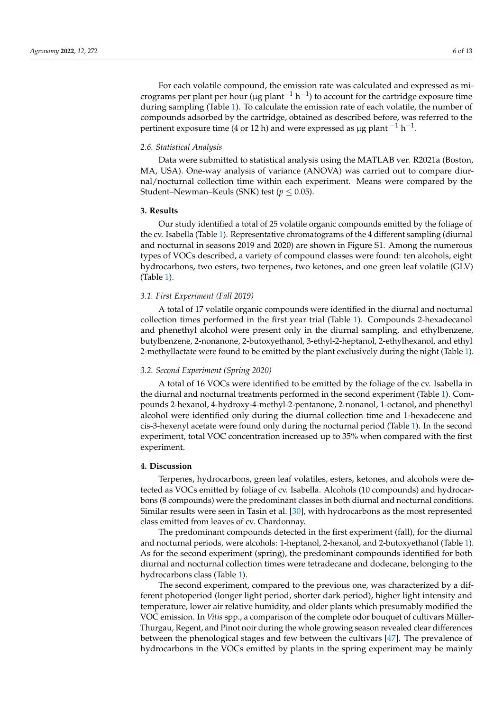For each volatile compound, the emission rate was calculated and expressed as micrograms per plant per hour (µg plant<sup>-1</sup> h<sup>-1</sup>) to account for the cartridge exposure time during sampling (Table [1\)](#page-4-0). To calculate the emission rate of each volatile, the number of compounds adsorbed by the cartridge, obtained as described before, was referred to the pertinent exposure time (4 or 12 h) and were expressed as µg plant  $^{-1}$  h $^{-1}$ .

#### *2.6. Statistical Analysis*

Data were submitted to statistical analysis using the MATLAB ver. R2021a (Boston, MA, USA). One-way analysis of variance (ANOVA) was carried out to compare diurnal/nocturnal collection time within each experiment. Means were compared by the Student–Newman–Keuls (SNK) test ( $p \leq 0.05$ ).

#### **3. Results**

Our study identified a total of 25 volatile organic compounds emitted by the foliage of the cv. Isabella (Table [1\)](#page-4-0). Representative chromatograms of the 4 different sampling (diurnal and nocturnal in seasons 2019 and 2020) are shown in Figure S1. Among the numerous types of VOCs described, a variety of compound classes were found: ten alcohols, eight hydrocarbons, two esters, two terpenes, two ketones, and one green leaf volatile (GLV) (Table [1\)](#page-4-0).

#### *3.1. First Experiment (Fall 2019)*

A total of 17 volatile organic compounds were identified in the diurnal and nocturnal collection times performed in the first year trial (Table [1\)](#page-4-0). Compounds 2-hexadecanol and phenethyl alcohol were present only in the diurnal sampling, and ethylbenzene, butylbenzene, 2-nonanone, 2-butoxyethanol, 3-ethyl-2-heptanol, 2-ethylhexanol, and ethyl 2-methyllactate were found to be emitted by the plant exclusively during the night (Table [1\)](#page-4-0).

#### *3.2. Second Experiment (Spring 2020)*

A total of 16 VOCs were identified to be emitted by the foliage of the cv. Isabella in the diurnal and nocturnal treatments performed in the second experiment (Table [1\)](#page-4-0). Compounds 2-hexanol, 4-hydroxy-4-methyl-2-pentanone, 2-nonanol, 1-octanol, and phenethyl alcohol were identified only during the diurnal collection time and 1-hexadecene and cis-3-hexenyl acetate were found only during the nocturnal period (Table [1\)](#page-4-0). In the second experiment, total VOC concentration increased up to 35% when compared with the first experiment.

# **4. Discussion**

Terpenes, hydrocarbons, green leaf volatiles, esters, ketones, and alcohols were detected as VOCs emitted by foliage of cv. Isabella. Alcohols (10 compounds) and hydrocarbons (8 compounds) were the predominant classes in both diurnal and nocturnal conditions. Similar results were seen in Tasin et al. [\[30\]](#page-10-1), with hydrocarbons as the most represented class emitted from leaves of cv. Chardonnay.

The predominant compounds detected in the first experiment (fall), for the diurnal and nocturnal periods, were alcohols: 1-heptanol, 2-hexanol, and 2-butoxyethanol (Table [1\)](#page-4-0). As for the second experiment (spring), the predominant compounds identified for both diurnal and nocturnal collection times were tetradecane and dodecane, belonging to the hydrocarbons class (Table [1\)](#page-4-0).

The second experiment, compared to the previous one, was characterized by a different photoperiod (longer light period, shorter dark period), higher light intensity and temperature, lower air relative humidity, and older plants which presumably modified the VOC emission. In *Vitis* spp., a comparison of the complete odor bouquet of cultivars Müller-Thurgau, Regent, and Pinot noir during the whole growing season revealed clear differences between the phenological stages and few between the cultivars [\[47\]](#page-10-18). The prevalence of hydrocarbons in the VOCs emitted by plants in the spring experiment may be mainly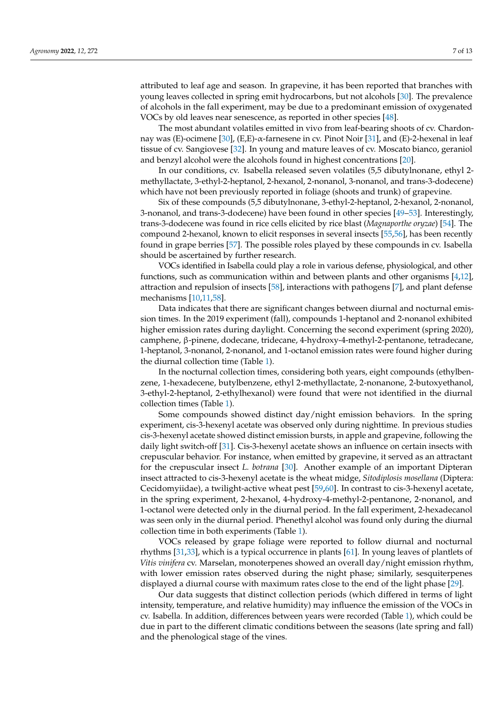attributed to leaf age and season. In grapevine, it has been reported that branches with young leaves collected in spring emit hydrocarbons, but not alcohols [\[30\]](#page-10-1). The prevalence of alcohols in the fall experiment, may be due to a predominant emission of oxygenated VOCs by old leaves near senescence, as reported in other species [\[48\]](#page-10-19).

The most abundant volatiles emitted in vivo from leaf-bearing shoots of cv. Chardonnay was (E)-ocimene [\[30\]](#page-10-1), (E,E)-α-farnesene in cv. Pinot Noir [\[31\]](#page-10-2), and (E)-2-hexenal in leaf tissue of cv. Sangiovese [\[32\]](#page-10-3). In young and mature leaves of cv. Moscato bianco, geraniol and benzyl alcohol were the alcohols found in highest concentrations [\[20\]](#page-9-18).

In our conditions, cv. Isabella released seven volatiles (5,5 dibutylnonane, ethyl 2 methyllactate, 3-ethyl-2-heptanol, 2-hexanol, 2-nonanol, 3-nonanol, and trans-3-dodecene) which have not been previously reported in foliage (shoots and trunk) of grapevine.

Six of these compounds (5,5 dibutylnonane, 3-ethyl-2-heptanol, 2-hexanol, 2-nonanol, 3-nonanol, and trans-3-dodecene) have been found in other species [\[49–](#page-10-20)[53\]](#page-10-21). Interestingly, trans-3-dodecene was found in rice cells elicited by rice blast (*Magnaporthe oryzae*) [\[54\]](#page-10-22). The compound 2-hexanol, known to elicit responses in several insects [\[55](#page-10-23)[,56\]](#page-11-0), has been recently found in grape berries [\[57\]](#page-11-1). The possible roles played by these compounds in cv. Isabella should be ascertained by further research.

VOCs identified in Isabella could play a role in various defense, physiological, and other functions, such as communication within and between plants and other organisms [\[4,](#page-9-6)[12\]](#page-9-11), attraction and repulsion of insects [\[58\]](#page-11-2), interactions with pathogens [\[7\]](#page-9-5), and plant defense mechanisms [\[10](#page-9-9)[,11](#page-9-10)[,58\]](#page-11-2).

Data indicates that there are significant changes between diurnal and nocturnal emission times. In the 2019 experiment (fall), compounds 1-heptanol and 2-nonanol exhibited higher emission rates during daylight. Concerning the second experiment (spring 2020), camphene, β-pinene, dodecane, tridecane, 4-hydroxy-4-methyl-2-pentanone, tetradecane, 1-heptanol, 3-nonanol, 2-nonanol, and 1-octanol emission rates were found higher during the diurnal collection time (Table [1\)](#page-4-0).

In the nocturnal collection times, considering both years, eight compounds (ethylbenzene, 1-hexadecene, butylbenzene, ethyl 2-methyllactate, 2-nonanone, 2-butoxyethanol, 3-ethyl-2-heptanol, 2-ethylhexanol) were found that were not identified in the diurnal collection times (Table [1\)](#page-4-0).

Some compounds showed distinct day/night emission behaviors. In the spring experiment, cis-3-hexenyl acetate was observed only during nighttime. In previous studies cis-3-hexenyl acetate showed distinct emission bursts, in apple and grapevine, following the daily light switch-off [\[31\]](#page-10-2). Cis-3-hexenyl acetate shows an influence on certain insects with crepuscular behavior. For instance, when emitted by grapevine, it served as an attractant for the crepuscular insect *L. botrana* [\[30\]](#page-10-1). Another example of an important Dipteran insect attracted to cis-3-hexenyl acetate is the wheat midge, *Sitodiplosis mosellana* (Diptera: Cecidomyiidae), a twilight-active wheat pest [\[59](#page-11-3)[,60\]](#page-11-4). In contrast to cis-3-hexenyl acetate, in the spring experiment, 2-hexanol, 4-hydroxy-4-methyl-2-pentanone, 2-nonanol, and 1-octanol were detected only in the diurnal period. In the fall experiment, 2-hexadecanol was seen only in the diurnal period. Phenethyl alcohol was found only during the diurnal collection time in both experiments (Table [1\)](#page-4-0).

VOCs released by grape foliage were reported to follow diurnal and nocturnal rhythms [\[31,](#page-10-2)[33\]](#page-10-4), which is a typical occurrence in plants [\[61\]](#page-11-5). In young leaves of plantlets of *Vitis vinifera* cv. Marselan, monoterpenes showed an overall day/night emission rhythm, with lower emission rates observed during the night phase; similarly, sesquiterpenes displayed a diurnal course with maximum rates close to the end of the light phase [\[29\]](#page-10-0).

Our data suggests that distinct collection periods (which differed in terms of light intensity, temperature, and relative humidity) may influence the emission of the VOCs in cv. Isabella. In addition, differences between years were recorded (Table [1\)](#page-4-0), which could be due in part to the different climatic conditions between the seasons (late spring and fall) and the phenological stage of the vines.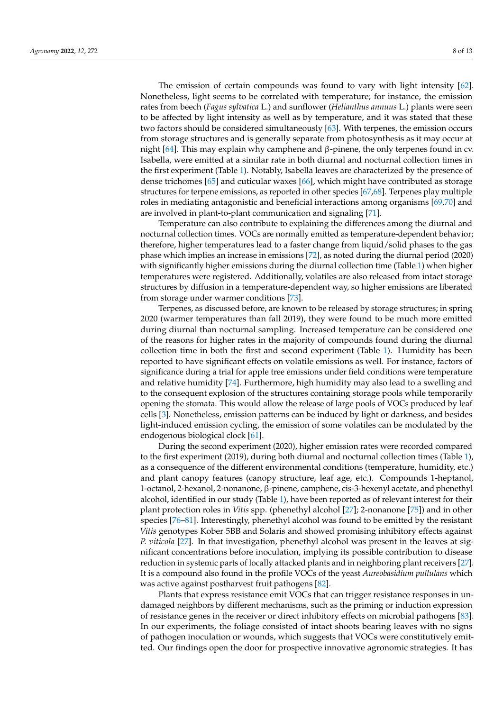The emission of certain compounds was found to vary with light intensity [\[62\]](#page-11-6). Nonetheless, light seems to be correlated with temperature; for instance, the emission rates from beech (*Fagus sylvatica* L.) and sunflower (*Helianthus annuus* L.) plants were seen to be affected by light intensity as well as by temperature, and it was stated that these two factors should be considered simultaneously [\[63\]](#page-11-7). With terpenes, the emission occurs from storage structures and is generally separate from photosynthesis as it may occur at night [\[64\]](#page-11-8). This may explain why camphene and β-pinene, the only terpenes found in cv. Isabella, were emitted at a similar rate in both diurnal and nocturnal collection times in the first experiment (Table [1\)](#page-4-0). Notably, Isabella leaves are characterized by the presence of dense trichomes [\[65\]](#page-11-9) and cuticular waxes [\[66\]](#page-11-10), which might have contributed as storage structures for terpene emissions, as reported in other species [\[67,](#page-11-11)[68\]](#page-11-12). Terpenes play multiple roles in mediating antagonistic and beneficial interactions among organisms [\[69,](#page-11-13)[70\]](#page-11-14) and are involved in plant-to-plant communication and signaling [\[71\]](#page-11-15).

Temperature can also contribute to explaining the differences among the diurnal and nocturnal collection times. VOCs are normally emitted as temperature-dependent behavior; therefore, higher temperatures lead to a faster change from liquid/solid phases to the gas phase which implies an increase in emissions [\[72\]](#page-11-16), as noted during the diurnal period (2020) with significantly higher emissions during the diurnal collection time (Table [1\)](#page-4-0) when higher temperatures were registered. Additionally, volatiles are also released from intact storage structures by diffusion in a temperature-dependent way, so higher emissions are liberated from storage under warmer conditions [\[73\]](#page-11-17).

Terpenes, as discussed before, are known to be released by storage structures; in spring 2020 (warmer temperatures than fall 2019), they were found to be much more emitted during diurnal than nocturnal sampling. Increased temperature can be considered one of the reasons for higher rates in the majority of compounds found during the diurnal collection time in both the first and second experiment (Table [1\)](#page-4-0). Humidity has been reported to have significant effects on volatile emissions as well. For instance, factors of significance during a trial for apple tree emissions under field conditions were temperature and relative humidity [\[74\]](#page-11-18). Furthermore, high humidity may also lead to a swelling and to the consequent explosion of the structures containing storage pools while temporarily opening the stomata. This would allow the release of large pools of VOCs produced by leaf cells [\[3\]](#page-9-3). Nonetheless, emission patterns can be induced by light or darkness, and besides light-induced emission cycling, the emission of some volatiles can be modulated by the endogenous biological clock [\[61\]](#page-11-5).

During the second experiment (2020), higher emission rates were recorded compared to the first experiment (2019), during both diurnal and nocturnal collection times (Table [1\)](#page-4-0), as a consequence of the different environmental conditions (temperature, humidity, etc.) and plant canopy features (canopy structure, leaf age, etc.). Compounds 1-heptanol, 1-octanol, 2-hexanol, 2-nonanone, β-pinene, camphene, cis-3-hexenyl acetate, and phenethyl alcohol, identified in our study (Table [1\)](#page-4-0), have been reported as of relevant interest for their plant protection roles in *Vitis* spp. (phenethyl alcohol [\[27\]](#page-9-25); 2-nonanone [\[75\]](#page-11-19)) and in other species [\[76–](#page-11-20)[81\]](#page-11-21). Interestingly, phenethyl alcohol was found to be emitted by the resistant *Vitis* genotypes Kober 5BB and Solaris and showed promising inhibitory effects against *P. viticola* [\[27\]](#page-9-25). In that investigation, phenethyl alcohol was present in the leaves at significant concentrations before inoculation, implying its possible contribution to disease reduction in systemic parts of locally attacked plants and in neighboring plant receivers [\[27\]](#page-9-25). It is a compound also found in the profile VOCs of the yeast *Aureobasidium pullulans* which was active against postharvest fruit pathogens [\[82\]](#page-11-22).

Plants that express resistance emit VOCs that can trigger resistance responses in undamaged neighbors by different mechanisms, such as the priming or induction expression of resistance genes in the receiver or direct inhibitory effects on microbial pathogens [\[83\]](#page-12-0). In our experiments, the foliage consisted of intact shoots bearing leaves with no signs of pathogen inoculation or wounds, which suggests that VOCs were constitutively emitted. Our findings open the door for prospective innovative agronomic strategies. It has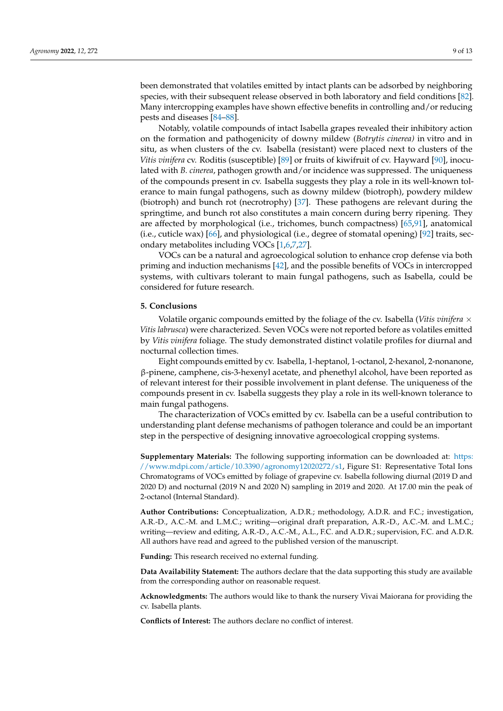been demonstrated that volatiles emitted by intact plants can be adsorbed by neighboring species, with their subsequent release observed in both laboratory and field conditions [\[82\]](#page-11-22). Many intercropping examples have shown effective benefits in controlling and/or reducing pests and diseases [\[84](#page-12-1)[–88\]](#page-12-2).

Notably, volatile compounds of intact Isabella grapes revealed their inhibitory action on the formation and pathogenicity of downy mildew (*Botrytis cinerea)* in vitro and in situ, as when clusters of the cv. Isabella (resistant) were placed next to clusters of the *Vitis vinifera* cv. Roditis (susceptible) [\[89\]](#page-12-3) or fruits of kiwifruit of cv. Hayward [\[90\]](#page-12-4), inoculated with *B. cinerea*, pathogen growth and/or incidence was suppressed. The uniqueness of the compounds present in cv. Isabella suggests they play a role in its well-known tolerance to main fungal pathogens, such as downy mildew (biotroph), powdery mildew (biotroph) and bunch rot (necrotrophy) [\[37\]](#page-10-8). These pathogens are relevant during the springtime, and bunch rot also constitutes a main concern during berry ripening. They are affected by morphological (i.e., trichomes, bunch compactness) [\[65](#page-11-9)[,91\]](#page-12-5), anatomical (i.e., cuticle wax) [\[66\]](#page-11-10), and physiological (i.e., degree of stomatal opening) [\[92\]](#page-12-6) traits, secondary metabolites including VOCs [\[1](#page-9-0)[,6](#page-9-4)[,7](#page-9-5)[,27\]](#page-9-25).

VOCs can be a natural and agroecological solution to enhance crop defense via both priming and induction mechanisms [\[42\]](#page-10-13), and the possible benefits of VOCs in intercropped systems, with cultivars tolerant to main fungal pathogens, such as Isabella, could be considered for future research.

# **5. Conclusions**

Volatile organic compounds emitted by the foliage of the cv. Isabella (*Vitis vinifera*  $\times$ *Vitis labrusca*) were characterized. Seven VOCs were not reported before as volatiles emitted by *Vitis vinifera* foliage. The study demonstrated distinct volatile profiles for diurnal and nocturnal collection times.

Eight compounds emitted by cv. Isabella, 1-heptanol, 1-octanol, 2-hexanol, 2-nonanone, β-pinene, camphene, cis-3-hexenyl acetate, and phenethyl alcohol, have been reported as of relevant interest for their possible involvement in plant defense. The uniqueness of the compounds present in cv. Isabella suggests they play a role in its well-known tolerance to main fungal pathogens.

The characterization of VOCs emitted by cv. Isabella can be a useful contribution to understanding plant defense mechanisms of pathogen tolerance and could be an important step in the perspective of designing innovative agroecological cropping systems.

**Supplementary Materials:** The following supporting information can be downloaded at: [https:](https://www.mdpi.com/article/10.3390/agronomy12020272/s1) [//www.mdpi.com/article/10.3390/agronomy12020272/s1,](https://www.mdpi.com/article/10.3390/agronomy12020272/s1) Figure S1: Representative Total Ions Chromatograms of VOCs emitted by foliage of grapevine cv. Isabella following diurnal (2019 D and 2020 D) and nocturnal (2019 N and 2020 N) sampling in 2019 and 2020. At 17.00 min the peak of 2-octanol (Internal Standard).

**Author Contributions:** Conceptualization, A.D.R.; methodology, A.D.R. and F.C.; investigation, A.R.-D., A.C.-M. and L.M.C.; writing—original draft preparation, A.R.-D., A.C.-M. and L.M.C.; writing—review and editing, A.R.-D., A.C.-M., A.L., F.C. and A.D.R.; supervision, F.C. and A.D.R. All authors have read and agreed to the published version of the manuscript.

**Funding:** This research received no external funding.

**Data Availability Statement:** The authors declare that the data supporting this study are available from the corresponding author on reasonable request.

**Acknowledgments:** The authors would like to thank the nursery Vivai Maiorana for providing the cv. Isabella plants.

**Conflicts of Interest:** The authors declare no conflict of interest.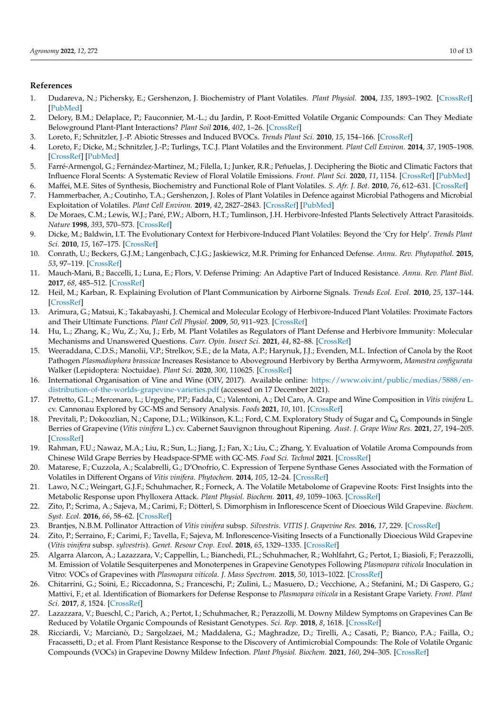# **References**

- <span id="page-9-0"></span>1. Dudareva, N.; Pichersky, E.; Gershenzon, J. Biochemistry of Plant Volatiles. *Plant Physiol.* **2004**, *135*, 1893–1902. [\[CrossRef\]](http://doi.org/10.1104/pp.104.049981) [\[PubMed\]](http://www.ncbi.nlm.nih.gov/pubmed/15326281)
- <span id="page-9-1"></span>2. Delory, B.M.; Delaplace, P.; Fauconnier, M.-L.; du Jardin, P. Root-Emitted Volatile Organic Compounds: Can They Mediate Belowground Plant-Plant Interactions? *Plant Soil* **2016**, *402*, 1–26. [\[CrossRef\]](http://doi.org/10.1007/s11104-016-2823-3)
- <span id="page-9-3"></span>3. Loreto, F.; Schnitzler, J.-P. Abiotic Stresses and Induced BVOCs. *Trends Plant Sci.* **2010**, *15*, 154–166. [\[CrossRef\]](http://doi.org/10.1016/j.tplants.2009.12.006)
- <span id="page-9-6"></span>4. Loreto, F.; Dicke, M.; Schnitzler, J.-P.; Turlings, T.C.J. Plant Volatiles and the Environment. *Plant Cell Environ.* **2014**, *37*, 1905–1908. [\[CrossRef\]](http://doi.org/10.1111/pce.12369) [\[PubMed\]](http://www.ncbi.nlm.nih.gov/pubmed/24811745)
- <span id="page-9-2"></span>5. Farré-Armengol, G.; Fernández-Martínez, M.; Filella, I.; Junker, R.R.; Peñuelas, J. Deciphering the Biotic and Climatic Factors that Influence Floral Scents: A Systematic Review of Floral Volatile Emissions. *Front. Plant Sci.* **2020**, *11*, 1154. [\[CrossRef\]](http://doi.org/10.3389/fpls.2020.01154) [\[PubMed\]](http://www.ncbi.nlm.nih.gov/pubmed/32849712)
- <span id="page-9-4"></span>6. Maffei, M.E. Sites of Synthesis, Biochemistry and Functional Role of Plant Volatiles. *S. Afr. J. Bot.* **2010**, *76*, 612–631. [\[CrossRef\]](http://doi.org/10.1016/j.sajb.2010.03.003)
- <span id="page-9-5"></span>7. Hammerbacher, A.; Coutinho, T.A.; Gershenzon, J. Roles of Plant Volatiles in Defence against Microbial Pathogens and Microbial Exploitation of Volatiles. *Plant Cell Environ.* **2019**, *42*, 2827–2843. [\[CrossRef\]](http://doi.org/10.1111/pce.13602) [\[PubMed\]](http://www.ncbi.nlm.nih.gov/pubmed/31222757)
- <span id="page-9-7"></span>8. De Moraes, C.M.; Lewis, W.J.; Paré, P.W.; Alborn, H.T.; Tumlinson, J.H. Herbivore-Infested Plants Selectively Attract Parasitoids. *Nature* **1998**, *393*, 570–573. [\[CrossRef\]](http://doi.org/10.1038/31219)
- <span id="page-9-8"></span>9. Dicke, M.; Baldwin, I.T. The Evolutionary Context for Herbivore-Induced Plant Volatiles: Beyond the 'Cry for Help'. *Trends Plant Sci.* **2010**, *15*, 167–175. [\[CrossRef\]](http://doi.org/10.1016/j.tplants.2009.12.002)
- <span id="page-9-9"></span>10. Conrath, U.; Beckers, G.J.M.; Langenbach, C.J.G.; Jaskiewicz, M.R. Priming for Enhanced Defense. *Annu. Rev. Phytopathol.* **2015**, *53*, 97–119. [\[CrossRef\]](http://doi.org/10.1146/annurev-phyto-080614-120132)
- <span id="page-9-10"></span>11. Mauch-Mani, B.; Baccelli, I.; Luna, E.; Flors, V. Defense Priming: An Adaptive Part of Induced Resistance. *Annu. Rev. Plant Biol.* **2017**, *68*, 485–512. [\[CrossRef\]](http://doi.org/10.1146/annurev-arplant-042916-041132)
- <span id="page-9-11"></span>12. Heil, M.; Karban, R. Explaining Evolution of Plant Communication by Airborne Signals. *Trends Ecol. Evol.* **2010**, *25*, 137–144. [\[CrossRef\]](http://doi.org/10.1016/j.tree.2009.09.010)
- <span id="page-9-12"></span>13. Arimura, G.; Matsui, K.; Takabayashi, J. Chemical and Molecular Ecology of Herbivore-Induced Plant Volatiles: Proximate Factors and Their Ultimate Functions. *Plant Cell Physiol.* **2009**, *50*, 911–923. [\[CrossRef\]](http://doi.org/10.1093/pcp/pcp030)
- <span id="page-9-13"></span>14. Hu, L.; Zhang, K.; Wu, Z.; Xu, J.; Erb, M. Plant Volatiles as Regulators of Plant Defense and Herbivore Immunity: Molecular Mechanisms and Unanswered Questions. *Curr. Opin. Insect Sci.* **2021**, *44*, 82–88. [\[CrossRef\]](http://doi.org/10.1016/j.cois.2021.03.010)
- <span id="page-9-14"></span>15. Weeraddana, C.D.S.; Manolii, V.P.; Strelkov, S.E.; de la Mata, A.P.; Harynuk, J.J.; Evenden, M.L. Infection of Canola by the Root Pathogen *Plasmodiophora brassicae* Increases Resistance to Aboveground Herbivory by Bertha Armyworm, *Mamestra configurata* Walker (Lepidoptera: Noctuidae). *Plant Sci.* **2020**, *300*, 110625. [\[CrossRef\]](http://doi.org/10.1016/j.plantsci.2020.110625)
- <span id="page-9-15"></span>16. International Organisation of Vine and Wine (OIV, 2017). Available online: [https://www.oiv.int/public/medias/5888/en](https://www.oiv.int/public/medias/5888/en-distribution-of-the-worlds-grapevine-varieties.pdf)[distribution-of-the-worlds-grapevine-varieties.pdf](https://www.oiv.int/public/medias/5888/en-distribution-of-the-worlds-grapevine-varieties.pdf) (accessed on 17 December 2021).
- <span id="page-9-16"></span>17. Petretto, G.L.; Mercenaro, L.; Urgeghe, P.P.; Fadda, C.; Valentoni, A.; Del Caro, A. Grape and Wine Composition in *Vitis vinifera* L. cv. Cannonau Explored by GC-MS and Sensory Analysis. *Foods* **2021**, *10*, 101. [\[CrossRef\]](http://doi.org/10.3390/foods10010101)
- 18. Previtali, P.; Dokoozlian, N.; Capone, D.L.; Wilkinson, K.L.; Ford, C.M. Exploratory Study of Sugar and C<sub>6</sub> Compounds in Single Berries of Grapevine (*Vitis vinifera* L.) cv. Cabernet Sauvignon throughout Ripening. *Aust. J. Grape Wine Res.* **2021**, *27*, 194–205. [\[CrossRef\]](http://doi.org/10.1111/ajgw.12472)
- <span id="page-9-17"></span>19. Rahman, F.U.; Nawaz, M.A.; Liu, R.; Sun, L.; Jiang, J.; Fan, X.; Liu, C.; Zhang, Y. Evaluation of Volatile Aroma Compounds from Chinese Wild Grape Berries by Headspace-SPME with GC-MS. *Food Sci. Technol* **2021**. [\[CrossRef\]](http://doi.org/10.1590/fst.54320)
- <span id="page-9-18"></span>20. Matarese, F.; Cuzzola, A.; Scalabrelli, G.; D'Onofrio, C. Expression of Terpene Synthase Genes Associated with the Formation of Volatiles in Different Organs of *Vitis vinifera*. *Phytochem.* **2014**, *105*, 12–24. [\[CrossRef\]](http://doi.org/10.1016/j.phytochem.2014.06.007)
- <span id="page-9-19"></span>21. Lawo, N.C.; Weingart, G.J.F.; Schuhmacher, R.; Forneck, A. The Volatile Metabolome of Grapevine Roots: First Insights into the Metabolic Response upon Phylloxera Attack. *Plant Physiol. Biochem.* **2011**, *49*, 1059–1063. [\[CrossRef\]](http://doi.org/10.1016/j.plaphy.2011.06.008)
- <span id="page-9-20"></span>22. Zito, P.; Scrima, A.; Sajeva, M.; Carimi, F.; Dötterl, S. Dimorphism in Inflorescence Scent of Dioecious Wild Grapevine. *Biochem. Syst. Ecol.* **2016**, *66*, 58–62. [\[CrossRef\]](http://doi.org/10.1016/j.bse.2016.03.003)
- <span id="page-9-21"></span>23. Brantjes, N.B.M. Pollinator Attraction of *Vitis vinifera* subsp. *Silvestris*. *VITIS J. Grapevine Res.* **2016**, *17*, 229. [\[CrossRef\]](http://doi.org/10.5073/VITIS.1978.17.229-233)
- <span id="page-9-22"></span>24. Zito, P.; Serraino, F.; Carimi, F.; Tavella, F.; Sajeva, M. Inflorescence-Visiting Insects of a Functionally Dioecious Wild Grapevine (*Vitis vinifera* subsp. *sylvestris*). *Genet. Resour Crop. Evol.* **2018**, *65*, 1329–1335. [\[CrossRef\]](http://doi.org/10.1007/s10722-018-0616-7)
- <span id="page-9-23"></span>25. Algarra Alarcon, A.; Lazazzara, V.; Cappellin, L.; Bianchedi, P.L.; Schuhmacher, R.; Wohlfahrt, G.; Pertot, I.; Biasioli, F.; Perazzolli, M. Emission of Volatile Sesquiterpenes and Monoterpenes in Grapevine Genotypes Following *Plasmopara viticola* Inoculation in Vitro: VOCs of Grapevines with *Plasmopara viticola*. *J. Mass Spectrom.* **2015**, *50*, 1013–1022. [\[CrossRef\]](http://doi.org/10.1002/jms.3615)
- 26. Chitarrini, G.; Soini, E.; Riccadonna, S.; Franceschi, P.; Zulini, L.; Masuero, D.; Vecchione, A.; Stefanini, M.; Di Gaspero, G.; Mattivi, F.; et al. Identification of Biomarkers for Defense Response to *Plasmopara viticola* in a Resistant Grape Variety. *Front. Plant Sci.* **2017**, *8*, 1524. [\[CrossRef\]](http://doi.org/10.3389/fpls.2017.01524)
- <span id="page-9-25"></span>27. Lazazzara, V.; Bueschl, C.; Parich, A.; Pertot, I.; Schuhmacher, R.; Perazzolli, M. Downy Mildew Symptoms on Grapevines Can Be Reduced by Volatile Organic Compounds of Resistant Genotypes. *Sci. Rep.* **2018**, *8*, 1618. [\[CrossRef\]](http://doi.org/10.1038/s41598-018-19776-2)
- <span id="page-9-24"></span>28. Ricciardi, V.; Marcianò, D.; Sargolzaei, M.; Maddalena, G.; Maghradze, D.; Tirelli, A.; Casati, P.; Bianco, P.A.; Failla, O.; Fracassetti, D.; et al. From Plant Resistance Response to the Discovery of Antimicrobial Compounds: The Role of Volatile Organic Compounds (VOCs) in Grapevine Downy Mildew Infection. *Plant Physiol. Biochem.* **2021**, *160*, 294–305. [\[CrossRef\]](http://doi.org/10.1016/j.plaphy.2021.01.035)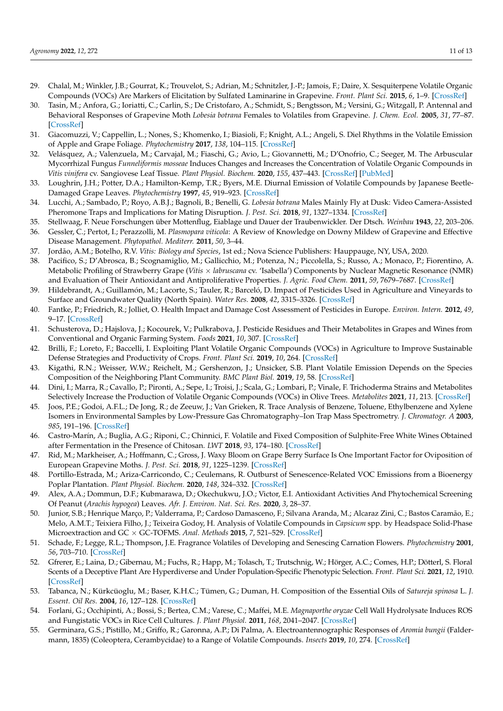- <span id="page-10-0"></span>29. Chalal, M.; Winkler, J.B.; Gourrat, K.; Trouvelot, S.; Adrian, M.; Schnitzler, J.-P.; Jamois, F.; Daire, X. Sesquiterpene Volatile Organic Compounds (VOCs) Are Markers of Elicitation by Sulfated Laminarine in Grapevine. *Front. Plant Sci.* **2015**, *6*, 1–9. [\[CrossRef\]](http://doi.org/10.3389/fpls.2015.00350)
- <span id="page-10-1"></span>30. Tasin, M.; Anfora, G.; Ioriatti, C.; Carlin, S.; De Cristofaro, A.; Schmidt, S.; Bengtsson, M.; Versini, G.; Witzgall, P. Antennal and Behavioral Responses of Grapevine Moth *Lobesia botrana* Females to Volatiles from Grapevine. *J. Chem. Ecol.* **2005**, *31*, 77–87. [\[CrossRef\]](http://doi.org/10.1007/s10886-005-0975-3)
- <span id="page-10-2"></span>31. Giacomuzzi, V.; Cappellin, L.; Nones, S.; Khomenko, I.; Biasioli, F.; Knight, A.L.; Angeli, S. Diel Rhythms in the Volatile Emission of Apple and Grape Foliage. *Phytochemistry* **2017**, *138*, 104–115. [\[CrossRef\]](http://doi.org/10.1016/j.phytochem.2017.03.001)
- <span id="page-10-3"></span>32. Velásquez, A.; Valenzuela, M.; Carvajal, M.; Fiaschi, G.; Avio, L.; Giovannetti, M.; D'Onofrio, C.; Seeger, M. The Arbuscular Mycorrhizal Fungus *Funneliformis mosseae* Induces Changes and Increases the Concentration of Volatile Organic Compounds in *Vitis vinifera* cv. Sangiovese Leaf Tissue. *Plant Physiol. Biochem.* **2020**, *155*, 437–443. [\[CrossRef\]](http://doi.org/10.1016/j.plaphy.2020.06.048) [\[PubMed\]](http://www.ncbi.nlm.nih.gov/pubmed/32814280)
- <span id="page-10-4"></span>33. Loughrin, J.H.; Potter, D.A.; Hamilton-Kemp, T.R.; Byers, M.E. Diurnal Emission of Volatile Compounds by Japanese Beetle-Damaged Grape Leaves. *Phytochemistry* **1997**, *45*, 919–923. [\[CrossRef\]](http://doi.org/10.1016/S0031-9422(97)00076-9)
- <span id="page-10-5"></span>34. Lucchi, A.; Sambado, P.; Royo, A.B.J.; Bagnoli, B.; Benelli, G. *Lobesia botrana* Males Mainly Fly at Dusk: Video Camera-Assisted Pheromone Traps and Implications for Mating Disruption. *J. Pest. Sci.* **2018**, *91*, 1327–1334. [\[CrossRef\]](http://doi.org/10.1007/s10340-018-1002-0)
- <span id="page-10-6"></span>35. Stellwaag, F. Neue Forschungen über Mottenflug, Eiablage und Dauer der Traubenwickler. Der Dtsch. *Weinbau* **1943**, *22*, 203–206.
- <span id="page-10-7"></span>36. Gessler, C.; Pertot, I.; Perazzolli, M. *Plasmopara viticola*: A Review of Knowledge on Downy Mildew of Grapevine and Effective Disease Management. *Phytopathol. Mediterr.* **2011**, *50*, 3–44.
- <span id="page-10-8"></span>37. Jordão, A.M.; Botelho, R.V. *Vitis: Biology and Species*, 1st ed.; Nova Science Publishers: Hauppauge, NY, USA, 2020.
- <span id="page-10-9"></span>38. Pacifico, S.; D'Abrosca, B.; Scognamiglio, M.; Gallicchio, M.; Potenza, N.; Piccolella, S.; Russo, A.; Monaco, P.; Fiorentino, A. Metabolic Profiling of Strawberry Grape (*Vitis* × *labruscana* cv. 'Isabella') Components by Nuclear Magnetic Resonance (NMR) and Evaluation of Their Antioxidant and Antiproliferative Properties. *J. Agric. Food Chem.* **2011**, *59*, 7679–7687. [\[CrossRef\]](http://doi.org/10.1021/jf200926t)
- <span id="page-10-10"></span>39. Hildebrandt, A.; Guillamón, M.; Lacorte, S.; Tauler, R.; Barceló, D. Impact of Pesticides Used in Agriculture and Vineyards to Surface and Groundwater Quality (North Spain). *Water Res.* **2008**, *42*, 3315–3326. [\[CrossRef\]](http://doi.org/10.1016/j.watres.2008.04.009)
- <span id="page-10-11"></span>40. Fantke, P.; Friedrich, R.; Jolliet, O. Health Impact and Damage Cost Assessment of Pesticides in Europe. *Environ. Intern.* **2012**, *49*, 9–17. [\[CrossRef\]](http://doi.org/10.1016/j.envint.2012.08.001)
- <span id="page-10-12"></span>41. Schusterova, D.; Hajslova, J.; Kocourek, V.; Pulkrabova, J. Pesticide Residues and Their Metabolites in Grapes and Wines from Conventional and Organic Farming System. *Foods* **2021**, *10*, 307. [\[CrossRef\]](http://doi.org/10.3390/foods10020307)
- <span id="page-10-13"></span>42. Brilli, F.; Loreto, F.; Baccelli, I. Exploiting Plant Volatile Organic Compounds (VOCs) in Agriculture to Improve Sustainable Defense Strategies and Productivity of Crops. *Front. Plant Sci.* **2019**, *10*, 264. [\[CrossRef\]](http://doi.org/10.3389/fpls.2019.00264)
- <span id="page-10-14"></span>43. Kigathi, R.N.; Weisser, W.W.; Reichelt, M.; Gershenzon, J.; Unsicker, S.B. Plant Volatile Emission Depends on the Species Composition of the Neighboring Plant Community. *BMC Plant Biol.* **2019**, *19*, 58. [\[CrossRef\]](http://doi.org/10.1186/s12870-018-1541-9)
- <span id="page-10-15"></span>44. Dini, I.; Marra, R.; Cavallo, P.; Pironti, A.; Sepe, I.; Troisi, J.; Scala, G.; Lombari, P.; Vinale, F. Trichoderma Strains and Metabolites Selectively Increase the Production of Volatile Organic Compounds (VOCs) in Olive Trees. *Metabolites* **2021**, *11*, 213. [\[CrossRef\]](http://doi.org/10.3390/metabo11040213)
- <span id="page-10-16"></span>45. Joos, P.E.; Godoi, A.F.L.; De Jong, R.; de Zeeuw, J.; Van Grieken, R. Trace Analysis of Benzene, Toluene, Ethylbenzene and Xylene Isomers in Environmental Samples by Low-Pressure Gas Chromatography–Ion Trap Mass Spectrometry. *J. Chromatogr. A* **2003**, *985*, 191–196. [\[CrossRef\]](http://doi.org/10.1016/S0021-9673(02)01843-5)
- <span id="page-10-17"></span>46. Castro-Marín, A.; Buglia, A.G.; Riponi, C.; Chinnici, F. Volatile and Fixed Composition of Sulphite-Free White Wines Obtained after Fermentation in the Presence of Chitosan. *LWT* **2018**, *93*, 174–180. [\[CrossRef\]](http://doi.org/10.1016/j.lwt.2018.03.003)
- <span id="page-10-18"></span>47. Rid, M.; Markheiser, A.; Hoffmann, C.; Gross, J. Waxy Bloom on Grape Berry Surface Is One Important Factor for Oviposition of European Grapevine Moths. *J. Pest. Sci.* **2018**, *91*, 1225–1239. [\[CrossRef\]](http://doi.org/10.1007/s10340-018-0988-7)
- <span id="page-10-19"></span>48. Portillo-Estrada, M.; Ariza-Carricondo, C.; Ceulemans, R. Outburst of Senescence-Related VOC Emissions from a Bioenergy Poplar Plantation. *Plant Physiol. Biochem.* **2020**, *148*, 324–332. [\[CrossRef\]](http://doi.org/10.1016/j.plaphy.2020.01.024)
- <span id="page-10-20"></span>49. Alex, A.A.; Dommun, D.F.; Kubmarawa, D.; Okechukwu, J.O.; Victor, E.I. Antioxidant Activities And Phytochemical Screening Of Peanut (*Arachis hypogea*) Leaves. *Afr. J. Environ. Nat. Sci. Res.* **2020**, *3*, 28–37.
- 50. Junior, S.B.; Henrique Março, P.; Valderrama, P.; Cardoso Damasceno, F.; Silvana Aranda, M.; Alcaraz Zini, C.; Bastos Caramão, E.; Melo, A.M.T.; Teixiera Filho, J.; Teixeira Godoy, H. Analysis of Volatile Compounds in *Capsicum* spp. by Headspace Solid-Phase Microextraction and GC × GC-TOFMS. *Anal. Methods* **2015**, *7*, 521–529. [\[CrossRef\]](http://doi.org/10.1039/C4AY01455C)
- 51. Schade, F.; Legge, R.L.; Thompson, J.E. Fragrance Volatiles of Developing and Senescing Carnation Flowers. *Phytochemistry* **2001**, *56*, 703–710. [\[CrossRef\]](http://doi.org/10.1016/S0031-9422(00)00483-0)
- 52. Gfrerer, E.; Laina, D.; Gibernau, M.; Fuchs, R.; Happ, M.; Tolasch, T.; Trutschnig, W.; Hörger, A.C.; Comes, H.P.; Dötterl, S. Floral Scents of a Deceptive Plant Are Hyperdiverse and Under Population-Specific Phenotypic Selection. *Front. Plant Sci.* **2021**, *12*, 1910. [\[CrossRef\]](http://doi.org/10.3389/fpls.2021.719092)
- <span id="page-10-21"></span>53. Tabanca, N.; Kürkcüoglu, M.; Baser, K.H.C.; Tümen, G.; Duman, H. Composition of the Essential Oils of *Satureja spinosa* L. *J. Essent. Oil Res.* **2004**, *16*, 127–128. [\[CrossRef\]](http://doi.org/10.1080/10412905.2004.9698671)
- <span id="page-10-22"></span>54. Forlani, G.; Occhipinti, A.; Bossi, S.; Bertea, C.M.; Varese, C.; Maffei, M.E. *Magnaporthe oryzae* Cell Wall Hydrolysate Induces ROS and Fungistatic VOCs in Rice Cell Cultures. *J. Plant Physiol.* **2011**, *168*, 2041–2047. [\[CrossRef\]](http://doi.org/10.1016/j.jplph.2011.06.014)
- <span id="page-10-23"></span>55. Germinara, G.S.; Pistillo, M.; Griffo, R.; Garonna, A.P.; Di Palma, A. Electroantennographic Responses of *Aromia bungii* (Faldermann, 1835) (Coleoptera, Cerambycidae) to a Range of Volatile Compounds. *Insects* **2019**, *10*, 274. [\[CrossRef\]](http://doi.org/10.3390/insects10090274)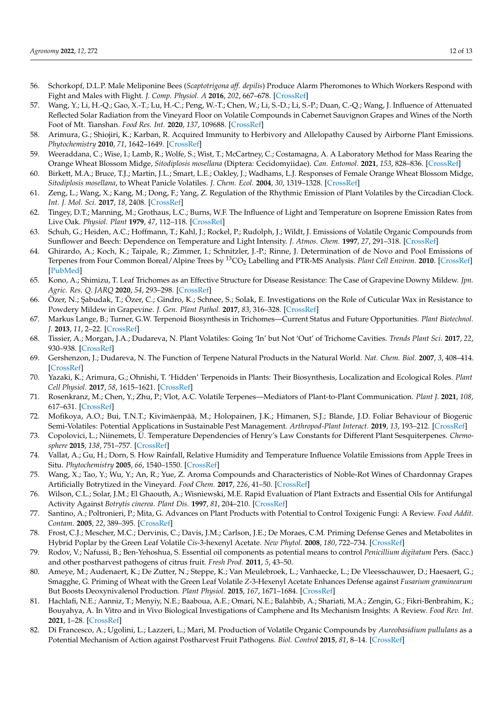- <span id="page-11-0"></span>56. Schorkopf, D.L.P. Male Meliponine Bees (*Scaptotrigona aff. depilis*) Produce Alarm Pheromones to Which Workers Respond with Fight and Males with Flight. *J. Comp. Physiol. A* **2016**, *202*, 667–678. [\[CrossRef\]](http://doi.org/10.1007/s00359-016-1109-9)
- <span id="page-11-1"></span>57. Wang, Y.; Li, H.-Q.; Gao, X.-T.; Lu, H.-C.; Peng, W.-T.; Chen, W.; Li, S.-D.; Li, S.-P.; Duan, C.-Q.; Wang, J. Influence of Attenuated Reflected Solar Radiation from the Vineyard Floor on Volatile Compounds in Cabernet Sauvignon Grapes and Wines of the North Foot of Mt. Tianshan. *Food Res. Int.* **2020**, *137*, 109688. [\[CrossRef\]](http://doi.org/10.1016/j.foodres.2020.109688)
- <span id="page-11-2"></span>58. Arimura, G.; Shiojiri, K.; Karban, R. Acquired Immunity to Herbivory and Allelopathy Caused by Airborne Plant Emissions. *Phytochemistry* **2010**, *71*, 1642–1649. [\[CrossRef\]](http://doi.org/10.1016/j.phytochem.2010.06.021)
- <span id="page-11-3"></span>59. Weeraddana, C.; Wise, I.; Lamb, R.; Wolfe, S.; Wist, T.; McCartney, C.; Costamagna, A. A Laboratory Method for Mass Rearing the Orange Wheat Blossom Midge, *Sitodiplosis mosellana* (Diptera: Cecidomyiidae). *Can. Entomol.* **2021**, *153*, 828–836. [\[CrossRef\]](http://doi.org/10.4039/tce.2021.46)
- <span id="page-11-4"></span>60. Birkett, M.A.; Bruce, T.J.; Martin, J.L.; Smart, L.E.; Oakley, J.; Wadhams, L.J. Responses of Female Orange Wheat Blossom Midge, *Sitodiplosis mosellana*, to Wheat Panicle Volatiles. *J. Chem. Ecol.* **2004**, *30*, 1319–1328. [\[CrossRef\]](http://doi.org/10.1023/B:JOEC.0000037742.05022.9f)
- <span id="page-11-5"></span>61. Zeng, L.; Wang, X.; Kang, M.; Dong, F.; Yang, Z. Regulation of the Rhythmic Emission of Plant Volatiles by the Circadian Clock. *Int. J. Mol. Sci.* **2017**, *18*, 2408. [\[CrossRef\]](http://doi.org/10.3390/ijms18112408)
- <span id="page-11-6"></span>62. Tingey, D.T.; Manning, M.; Grothaus, L.C.; Burns, W.F. The Influence of Light and Temperature on Isoprene Emission Rates from Live Oak. *Physiol. Plant* **1979**, *47*, 112–118. [\[CrossRef\]](http://doi.org/10.1111/j.1399-3054.1979.tb03200.x)
- <span id="page-11-7"></span>63. Schuh, G.; Heiden, A.C.; Hoffmann, T.; Kahl, J.; Rockel, P.; Rudolph, J.; Wildt, J. Emissions of Volatile Organic Compounds from Sunflower and Beech: Dependence on Temperature and Light Intensity. *J. Atmos. Chem.* **1997**, *27*, 291–318. [\[CrossRef\]](http://doi.org/10.1023/A:1005850710257)
- <span id="page-11-8"></span>64. Ghirardo, A.; Koch, K.; Taipale, R.; Zimmer, I.; Schnitzler, J.-P.; Rinne, J. Determination of de Novo and Pool Emissions of Terpenes from Four Common Boreal/Alpine Trees by <sup>13</sup>CO<sub>2</sub> Labelling and PTR-MS Analysis. *Plant Cell Environ*. 2010. [\[CrossRef\]](http://doi.org/10.1111/j.1365-3040.2009.02104.x) [\[PubMed\]](http://www.ncbi.nlm.nih.gov/pubmed/20040067)
- <span id="page-11-9"></span>65. Kono, A.; Shimizu, T. Leaf Trichomes as an Effective Structure for Disease Resistance: The Case of Grapevine Downy Mildew. *Jpn. Agric. Res. Q. JARQ* **2020**, *54*, 293–298. [\[CrossRef\]](http://doi.org/10.6090/jarq.54.293)
- <span id="page-11-10"></span>66. Özer, N.; ¸Sabudak, T.; Özer, C.; Gindro, K.; Schnee, S.; Solak, E. Investigations on the Role of Cuticular Wax in Resistance to Powdery Mildew in Grapevine. *J. Gen. Plant Pathol.* **2017**, *83*, 316–328. [\[CrossRef\]](http://doi.org/10.1007/s10327-017-0728-5)
- <span id="page-11-11"></span>67. Markus Lange, B.; Turner, G.W. Terpenoid Biosynthesis in Trichomes—Current Status and Future Opportunities. *Plant Biotechnol. J.* **2013**, *11*, 2–22. [\[CrossRef\]](http://doi.org/10.1111/j.1467-7652.2012.00737.x)
- <span id="page-11-12"></span>68. Tissier, A.; Morgan, J.A.; Dudareva, N. Plant Volatiles: Going 'In' but Not 'Out' of Trichome Cavities. *Trends Plant Sci.* **2017**, *22*, 930–938. [\[CrossRef\]](http://doi.org/10.1016/j.tplants.2017.09.001)
- <span id="page-11-13"></span>69. Gershenzon, J.; Dudareva, N. The Function of Terpene Natural Products in the Natural World. *Nat. Chem. Biol.* **2007**, *3*, 408–414. [\[CrossRef\]](http://doi.org/10.1038/nchembio.2007.5)
- <span id="page-11-14"></span>70. Yazaki, K.; Arimura, G.; Ohnishi, T. 'Hidden' Terpenoids in Plants: Their Biosynthesis, Localization and Ecological Roles. *Plant Cell Physiol.* **2017**, *58*, 1615–1621. [\[CrossRef\]](http://doi.org/10.1093/pcp/pcx123)
- <span id="page-11-15"></span>71. Rosenkranz, M.; Chen, Y.; Zhu, P.; Vlot, A.C. Volatile Terpenes—Mediators of Plant-to-Plant Communication. *Plant J.* **2021**, *108*, 617–631. [\[CrossRef\]](http://doi.org/10.1111/tpj.15453)
- <span id="page-11-16"></span>72. Mofikoya, A.O.; Bui, T.N.T.; Kivimäenpää, M.; Holopainen, J.K.; Himanen, S.J.; Blande, J.D. Foliar Behaviour of Biogenic Semi-Volatiles: Potential Applications in Sustainable Pest Management. *Arthropod-Plant Interact.* **2019**, *13*, 193–212. [\[CrossRef\]](http://doi.org/10.1007/s11829-019-09676-1)
- <span id="page-11-17"></span>73. Copolovici, L.; Niinemets, Ü. Temperature Dependencies of Henry's Law Constants for Different Plant Sesquiterpenes. *Chemosphere* **2015**, *138*, 751–757. [\[CrossRef\]](http://doi.org/10.1016/j.chemosphere.2015.07.075)
- <span id="page-11-18"></span>74. Vallat, A.; Gu, H.; Dorn, S. How Rainfall, Relative Humidity and Temperature Influence Volatile Emissions from Apple Trees in Situ. *Phytochemistry* **2005**, *66*, 1540–1550. [\[CrossRef\]](http://doi.org/10.1016/j.phytochem.2005.04.038)
- <span id="page-11-19"></span>75. Wang, X.; Tao, Y.; Wu, Y.; An, R.; Yue, Z. Aroma Compounds and Characteristics of Noble-Rot Wines of Chardonnay Grapes Artificially Botrytized in the Vineyard. *Food Chem.* **2017**, *226*, 41–50. [\[CrossRef\]](http://doi.org/10.1016/j.foodchem.2017.01.007)
- <span id="page-11-20"></span>76. Wilson, C.L.; Solar, J.M.; El Ghaouth, A.; Wisniewski, M.E. Rapid Evaluation of Plant Extracts and Essential Oils for Antifungal Activity Against *Botrytis cinerea*. *Plant Dis.* **1997**, *81*, 204–210. [\[CrossRef\]](http://doi.org/10.1094/PDIS.1997.81.2.204)
- 77. Santino, A.; Poltronieri, P.; Mita, G. Advances on Plant Products with Potential to Control Toxigenic Fungi: A Review. *Food Addit. Contam.* **2005**, *22*, 389–395. [\[CrossRef\]](http://doi.org/10.1080/02652030500058429)
- 78. Frost, C.J.; Mescher, M.C.; Dervinis, C.; Davis, J.M.; Carlson, J.E.; De Moraes, C.M. Priming Defense Genes and Metabolites in Hybrid Poplar by the Green Leaf Volatile *Cis*-3-hexenyl Acetate. *New Phytol.* **2008**, *180*, 722–734. [\[CrossRef\]](http://doi.org/10.1111/j.1469-8137.2008.02599.x)
- 79. Rodov, V.; Nafussi, B.; Ben-Yehoshua, S. Essential oil components as potential means to control *Penicillium digitatum* Pers. (Sacc.) and other postharvest pathogens of citrus fruit. *Fresh Prod.* **2011**, *5*, 43–50.
- 80. Ameye, M.; Audenaert, K.; De Zutter, N.; Steppe, K.; Van Meulebroek, L.; Vanhaecke, L.; De Vleesschauwer, D.; Haesaert, G.; Smagghe, G. Priming of Wheat with the Green Leaf Volatile *Z*-3-Hexenyl Acetate Enhances Defense against *Fusarium graminearum* But Boosts Deoxynivalenol Production. *Plant Physiol.* **2015**, *167*, 1671–1684. [\[CrossRef\]](http://doi.org/10.1104/pp.15.00107)
- <span id="page-11-21"></span>81. Hachlafi, N.E.; Aanniz, T.; Menyiy, N.E.; Baaboua, A.E.; Omari, N.E.; Balahbib, A.; Shariati, M.A.; Zengin, G.; Fikri-Benbrahim, K.; Bouyahya, A. In Vitro and in Vivo Biological Investigations of Camphene and Its Mechanism Insights: A Review. *Food Rev. Int.* **2021**, 1–28. [\[CrossRef\]](http://doi.org/10.1080/87559129.2021.1936007)
- <span id="page-11-22"></span>82. Di Francesco, A.; Ugolini, L.; Lazzeri, L.; Mari, M. Production of Volatile Organic Compounds by *Aureobasidium pullulans* as a Potential Mechanism of Action against Postharvest Fruit Pathogens. *Biol. Control* **2015**, *81*, 8–14. [\[CrossRef\]](http://doi.org/10.1016/j.biocontrol.2014.10.004)